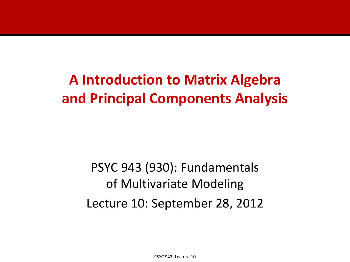### **A Introduction to Matrix Algebra and Principal Components Analysis**

PSYC 943 (930): Fundamentals of Multivariate Modeling Lecture 10: September 28, 2012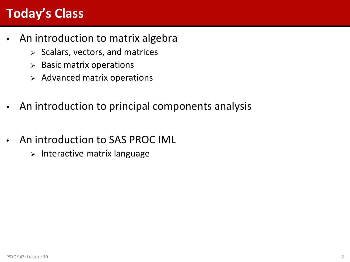### **Today's Class**

- An introduction to matrix algebra
	- $\triangleright$  Scalars, vectors, and matrices
	- $\triangleright$  Basic matrix operations
	- $\triangleright$  Advanced matrix operations
- An introduction to principal components analysis
- An introduction to SAS PROC IML
	- $\triangleright$  Interactive matrix language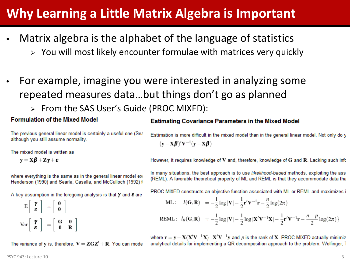#### **Why Learning a Little Matrix Algebra is Important**

- Matrix algebra is the alphabet of the language of statistics
	- $\triangleright$  You will most likely encounter formulae with matrices very quickly
- For example, imagine you were interested in analyzing some repeated measures data…but things don't go as planned
	- From the SAS User's Guide (PROC MIXED):

#### **Formulation of the Mixed Model**

The previous general linear model is certainly a useful one (Sea although you still assume normality.

The mixed model is written as

 $y = X\beta + Z\gamma + \varepsilon$ 

where everything is the same as in the general linear model exo Henderson (1990) and Searle, Casella, and McCulloch (1992) fi

A key assumption in the foregoing analysis is that  $\gamma$  and  $\varepsilon$  are

$$
E\left[\begin{array}{c} \boldsymbol{\gamma} \\ \boldsymbol{\varepsilon} \end{array}\right] = \left[\begin{array}{c} \boldsymbol{0} \\ \boldsymbol{0} \end{array}\right]
$$

$$
Var\left[\begin{array}{c} \boldsymbol{\gamma} \\ \boldsymbol{\varepsilon} \end{array}\right] = \left[\begin{array}{cc} G & 0 \\ 0 & R \end{array}\right]
$$

The variance of y is, therefore,  $V = ZGZ' + R$ . You can model

#### **Estimating Covariance Parameters in the Mixed Model**

Estimation is more difficult in the mixed model than in the general linear model. Not only do y  $(\mathbf{y} - \mathbf{X}\boldsymbol{\beta})'\mathbf{V}^{-1}(\mathbf{y} - \mathbf{X}\boldsymbol{\beta})$ 

However, it requires knowledge of  $V$  and, therefore, knowledge of  $G$  and  $R$ . Lacking such infor

In many situations, the best approach is to use likelihood-based methods, exploiting the assi (REML). A favorable theoretical property of ML and REML is that they accommodate data tha

PROC MIXED constructs an objective function associated with ML or REML and maximizes i

$$
\text{ML}: \quad l(\mathbf{G}, \mathbf{R}) = -\frac{1}{2}\log|\mathbf{V}| - \frac{1}{2}\mathbf{r}'\mathbf{V}^{-1}\mathbf{r} - \frac{n}{2}\log(2\pi)
$$

REML: 
$$
l_R(\mathbf{G}, \mathbf{R}) = -\frac{1}{2}\log |\mathbf{V}| - \frac{1}{2}\log |\mathbf{X}'\mathbf{V}^{-1}\mathbf{X}| - \frac{1}{2}\mathbf{r}'\mathbf{V}^{-1}\mathbf{r} - \frac{n-p}{2}\log(2\pi)\}
$$

where  $\mathbf{r} = \mathbf{y} - \mathbf{X}(\mathbf{X}'\mathbf{V}^{-1}\mathbf{X}) - \mathbf{X}'\mathbf{V}^{-1}\mathbf{y}$  and p is the rank of X. PROC MIXED actually minimiz analytical details for implementing a QR-decomposition approach to the problem. Wolfinger, 1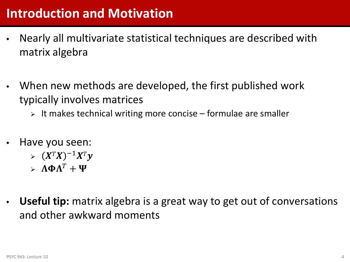- Nearly all multivariate statistical techniques are described with matrix algebra
- When new methods are developed, the first published work typically involves matrices
	- $\triangleright$  It makes technical writing more concise formulae are smaller
- Have you seen:
	- $\sum (X^T X)^{-1} X^T y$
	- $\rightarrow \Lambda \Phi \Lambda^T + \Psi$
- **Useful tip:** matrix algebra is a great way to get out of conversations and other awkward moments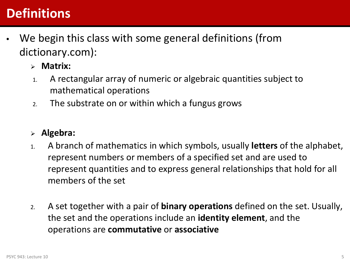#### **Definitions**

- We begin this class with some general definitions (from dictionary.com):
	- **Matrix:**
	- 1. A rectangular array of numeric or algebraic quantities subject to mathematical operations
	- 2. The substrate on or within which a fungus grows

#### **Algebra:**

- 1. A branch of mathematics in which symbols, usually **letters** of the alphabet, represent numbers or members of a specified set and are used to represent quantities and to express general relationships that hold for all members of the set
- 2. A set together with a pair of **binary operations** defined on the set. Usually, the set and the operations include an **identity element**, and the operations are **commutative** or **associative**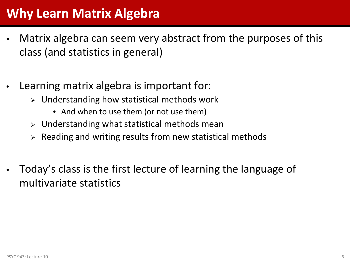#### **Why Learn Matrix Algebra**

- Matrix algebra can seem very abstract from the purposes of this class (and statistics in general)
- Learning matrix algebra is important for:
	- $\triangleright$  Understanding how statistical methods work
		- And when to use them (or not use them)
	- $\triangleright$  Understanding what statistical methods mean
	- Reading and writing results from new statistical methods
- Today's class is the first lecture of learning the language of multivariate statistics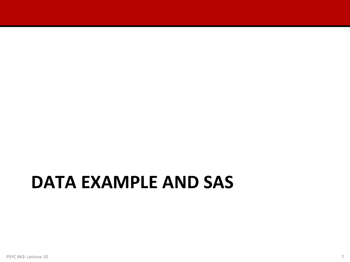### **DATA EXAMPLE AND SAS**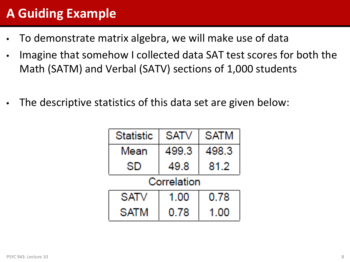### **A Guiding Example**

- To demonstrate matrix algebra, we will make use of data
- Imagine that somehow I collected data SAT test scores for both the Math (SATM) and Verbal (SATV) sections of 1,000 students
- The descriptive statistics of this data set are given below:

| <b>Statistic</b> | <b>SATV</b> | <b>SATM</b> |  |  |  |  |
|------------------|-------------|-------------|--|--|--|--|
| Mean             | 499.3       | 498.3       |  |  |  |  |
| SD               | 49.8        | 81.2        |  |  |  |  |
| Correlation      |             |             |  |  |  |  |
| SATV             | 1.00        | 0.78        |  |  |  |  |
| <b>SATM</b>      | 0.78        | 1 00        |  |  |  |  |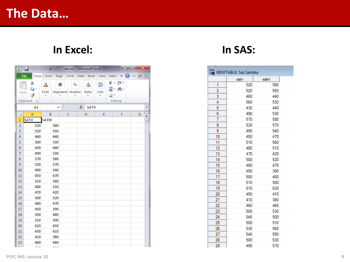#### **In Excel: In SAS:**

|                | <u>randa</u><br>$\mathbf{x}$<br>$X \mid H$<br>$\Box$ $\Box$ $\Box$ = sat.csv - Microsoft Excel |                         |                                      |                       |             |       |                    |                 |                                                            |   |  |   |          |
|----------------|------------------------------------------------------------------------------------------------|-------------------------|--------------------------------------|-----------------------|-------------|-------|--------------------|-----------------|------------------------------------------------------------|---|--|---|----------|
|                |                                                                                                | File                    | Home Inser Page Form Data Revie View |                       |             |       |                    |                 | $Add-I$ $\circ$ $\bullet$ $\circ$ $\circ$ $B$ $\circ$ $23$ |   |  |   |          |
|                |                                                                                                | Ж<br>la ·<br>Paste<br>F | <u>A</u><br>Font                     | 亖<br>Alignment Number | %           |       | A<br><b>Styles</b> | ÿ<br>Cells<br>v | $\Sigma$ - $\frac{A}{Z}$ <sup>-</sup><br>■・ 船・<br>Q٠       |   |  |   |          |
|                |                                                                                                | Clipboard <b>Is</b>     |                                      |                       |             |       |                    |                 | Editing                                                    |   |  |   |          |
|                |                                                                                                | A1                      | ÷                                    | (m.                   |             | $f_x$ | <b>SATV</b>        |                 |                                                            |   |  |   | ٧        |
|                | ⊿                                                                                              | A                       | B                                    |                       | $\mathsf C$ |       | D                  | E               |                                                            | F |  | G |          |
| 1              |                                                                                                | <b>SATV</b>             | <b>SATM</b>                          |                       |             |       |                    |                 |                                                            |   |  |   | $\equiv$ |
| $\overline{2}$ |                                                                                                | 520                     | 580                                  |                       |             |       |                    |                 |                                                            |   |  |   |          |
| 3              |                                                                                                | 520                     | 550                                  |                       |             |       |                    |                 |                                                            |   |  |   |          |
| 4              |                                                                                                | 460                     | 440                                  |                       |             |       |                    |                 |                                                            |   |  |   |          |
| 5              |                                                                                                | 560                     | 530                                  |                       |             |       |                    |                 |                                                            |   |  |   |          |
| $6\phantom{1}$ |                                                                                                | 430                     | 440                                  |                       |             |       |                    |                 |                                                            |   |  |   |          |
| $\overline{7}$ |                                                                                                | 490                     | 530                                  |                       |             |       |                    |                 |                                                            |   |  |   |          |
| 8<br>9         |                                                                                                | 570<br>530              | 580<br>570                           |                       |             |       |                    |                 |                                                            |   |  |   |          |
| 10             |                                                                                                | 490                     | 540                                  |                       |             |       |                    |                 |                                                            |   |  |   |          |
| 11             |                                                                                                | 450                     | 470                                  |                       |             |       |                    |                 |                                                            |   |  |   |          |
| 12             |                                                                                                | 510                     | 560                                  |                       |             |       |                    |                 |                                                            |   |  |   |          |
| 13             |                                                                                                | 480                     | 510                                  |                       |             |       |                    |                 |                                                            |   |  |   |          |
| 14             |                                                                                                | 470                     | 420                                  |                       |             |       |                    |                 |                                                            |   |  |   |          |
| 15             |                                                                                                | 500                     | 520                                  |                       |             |       |                    |                 |                                                            |   |  |   |          |
| 16             |                                                                                                | 480                     | 470                                  |                       |             |       |                    |                 |                                                            |   |  |   |          |
| 17             |                                                                                                | 450                     | 390                                  |                       |             |       |                    |                 |                                                            |   |  |   |          |
| 18             |                                                                                                | 500                     | 480                                  |                       |             |       |                    |                 |                                                            |   |  |   |          |
| 19<br>20       |                                                                                                | 510<br>610              | 500<br>630                           |                       |             |       |                    |                 |                                                            |   |  |   |          |
| 21             |                                                                                                | 450                     | 410                                  |                       |             |       |                    |                 |                                                            |   |  |   |          |
| 22             |                                                                                                | 410                     | 380                                  |                       |             |       |                    |                 |                                                            |   |  |   |          |
| 23             |                                                                                                | 460                     | 460                                  |                       |             |       |                    |                 |                                                            |   |  |   |          |
|                | u u                                                                                            | ---                     | ---                                  |                       |             |       |                    |                 |                                                            |   |  |   |          |

|                | VIEWTABLE: Sat.Satdata |      |
|----------------|------------------------|------|
|                | satv                   | satm |
| 1              | 520                    | 580  |
| $\overline{c}$ | 520                    | 550  |
| 3              | 460                    | 440  |
| 4              | 560                    | 530  |
| 5              | 430                    | 440  |
| 6              | 490                    | 530  |
| 7              | 570                    | 580  |
| 8              | 530                    | 570  |
| 9              | 490                    | 540  |
| 10             | 450                    | 470  |
| 11             | 510                    | 560  |
| 12             | 480                    | 510  |
| 13             | 470                    | 420  |
| 14             | 500                    | 520  |
| 15             | 480                    | 470  |
| 16             | 450                    | 390  |
| 17             | 500                    | 480  |
| 18             | 510                    | 500  |
| 19             | 610                    | 630  |
| 20             | 450                    | 410  |
| 21             | 410                    | 380  |
| 22             | 460                    | 460  |
| 23             | 500                    | 530  |
| 24             | 540                    | 500  |
| 25             | 500                    | 510  |
| 26             | 530                    | 560  |
| 27             | 540                    | 550  |
| 28             | 500                    | 530  |
| 29             | 490                    | 570  |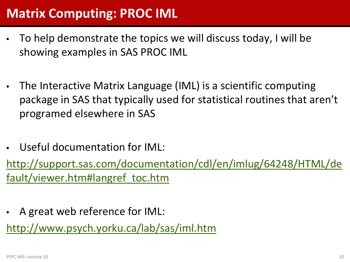#### **Matrix Computing: PROC IML**

- To help demonstrate the topics we will discuss today, I will be showing examples in SAS PROC IML
- The Interactive Matrix Language (IML) is a scientific computing package in SAS that typically used for statistical routines that aren't programed elsewhere in SAS
- Useful documentation for IML:

[http://support.sas.com/documentation/cdl/en/imlug/64248/HTML/de](http://support.sas.com/documentation/cdl/en/imlug/64248/HTML/default/viewer.htm) [fault/viewer.htm#langref\\_toc.htm](http://support.sas.com/documentation/cdl/en/imlug/64248/HTML/default/viewer.htm)

• A great web reference for IML:

<http://www.psych.yorku.ca/lab/sas/iml.htm>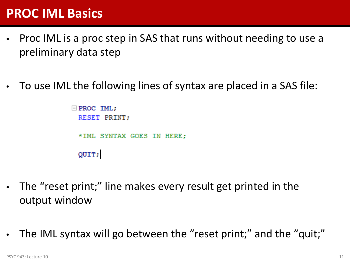#### **PROC IML Basics**

- Proc IML is a proc step in SAS that runs without needing to use a preliminary data step
- To use IML the following lines of syntax are placed in a SAS file:

```
\Box PROC IML:
RESET PRINT;
*IML SYNTAX GOES IN HERE:
QUIT:
```
- The "reset print;" line makes every result get printed in the output window
- The IML syntax will go between the "reset print;" and the "quit;"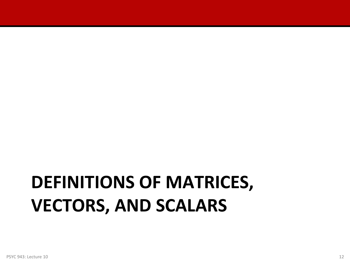# **DEFINITIONS OF MATRICES, VECTORS, AND SCALARS**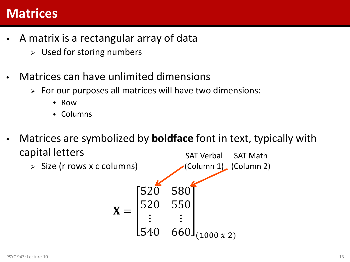#### **Matrices**

- A matrix is a rectangular array of data
	- $\triangleright$  Used for storing numbers
- Matrices can have unlimited dimensions
	- $\triangleright$  For our purposes all matrices will have two dimensions:
		- Row
		- Columns
- Matrices are symbolized by **boldface** font in text, typically with capital letters SAT Verbal SAT Math
	- $\triangleright$  Size (r rows x c columns)  $X =$  $520^{6}$  580 520 550  $\ddot{\bullet}$ 540  $660J_{(1000 \, x \, 2)}$ (Column 1) (Column 2)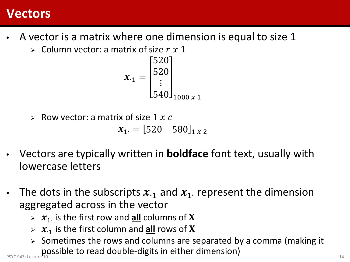#### **Vectors**

- A vector is a matrix where one dimension is equal to size 1
	- $\triangleright$  Column vector: a matrix of size  $r \times 1$

$$
x_{\cdot 1} = \begin{bmatrix} 520 \\ 520 \\ \vdots \\ 540 \end{bmatrix}_{1000 \times 1}
$$

 $\triangleright$  Row vector: a matrix of size 1 x c

 $x_1 = [520 \quad 580]_{1 \times 2}$ 

- Vectors are typically written in **boldface** font text, usually with lowercase letters
- The dots in the subscripts  $\mathbf{x}_{11}$  and  $\mathbf{x}_{11}$  represent the dimension aggregated across in the vector
	- 1∙ is the first row and **all** columns of
	- ∙1 is the first column and **all** rows of
- $\triangleright$  Sometimes the rows and columns are separated by a comma (making it possible to read double-digits in either dimension) provided to read double-digits in either dimension)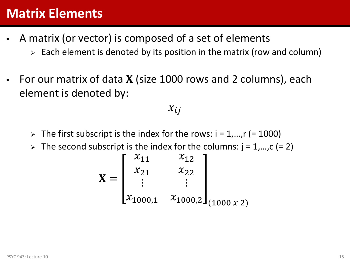#### **Matrix Elements**

- A matrix (or vector) is composed of a set of elements
	- $\triangleright$  Each element is denoted by its position in the matrix (row and column)
- For our matrix of data  $X$  (size 1000 rows and 2 columns), each element is denoted by:

#### $x_{ij}$

- $\triangleright$  The first subscript is the index for the rows: i = 1,...,r (= 1000)
- $\triangleright$  The second subscript is the index for the columns:  $j = 1,...,c$  (= 2)

$$
\mathbf{X} = \begin{bmatrix} x_{11} & x_{12} \\ x_{21} & x_{22} \\ \vdots & \vdots \\ x_{1000,1} & x_{1000,2} \end{bmatrix}_{(1000 \times 2)}
$$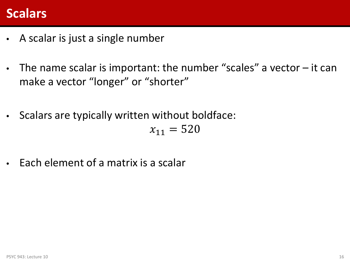#### **Scalars**

- A scalar is just a single number
- The name scalar is important: the number "scales" a vector it can make a vector "longer" or "shorter"
- Scalars are typically written without boldface:

 $x_{11} = 520$ 

• Each element of a matrix is a scalar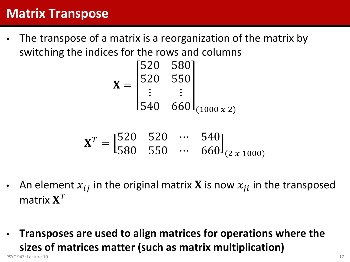#### **Matrix Transpose**

• The transpose of a matrix is a reorganization of the matrix by switching the indices for the rows and columns

$$
\mathbf{X} = \begin{bmatrix} 520 & 580 \\ 520 & 550 \\ \vdots & \vdots \\ 540 & 660 \end{bmatrix}_{(1000 \, x \, 2)}
$$

$$
\mathbf{X}^T = \begin{bmatrix} 520 & 520 & \cdots & 540 \\ 580 & 550 & \cdots & 660 \end{bmatrix}_{(2 \times 1000)}
$$

- An element  $x_{ij}$  in the original matrix **X** is now  $x_{ji}$  in the transposed matrix  $X^T$
- **Transposes are used to align matrices for operations where the sizes of matrices matter (such as matrix multiplication)** PSYC 943: Lecture 10 **17** 17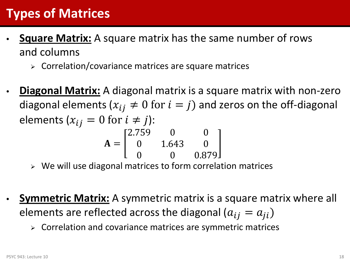### **Types of Matrices**

- **Square Matrix:** A square matrix has the same number of rows and columns
	- $\triangleright$  Correlation/covariance matrices are square matrices
- **Diagonal Matrix:** A diagonal matrix is a square matrix with non-zero diagonal elements ( $x_{ij} \neq 0$  for  $i = j$ ) and zeros on the off-diagonal elements  $(x_{ij} = 0$  for  $i \neq j$ :

$$
\mathbf{A} = \begin{bmatrix} 2.759 & 0 & 0 \\ 0 & 1.643 & 0 \\ 0 & 0 & 0.879 \end{bmatrix}
$$

- $\triangleright$  We will use diagonal matrices to form correlation matrices
- **Symmetric Matrix:** A symmetric matrix is a square matrix where all elements are reflected across the diagonal  $(a_{ij} = a_{ji})$ 
	- $\triangleright$  Correlation and covariance matrices are symmetric matrices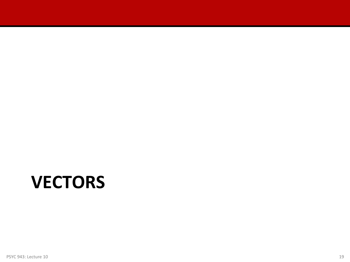### **VECTORS**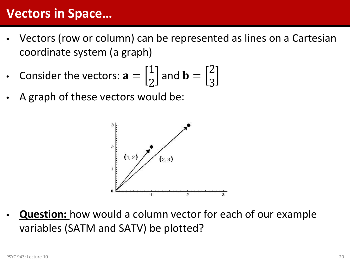#### **Vectors in Space…**

- Vectors (row or column) can be represented as lines on a Cartesian coordinate system (a graph)
- Consider the vectors:  $a =$ 1  $\begin{bmatrix} 1 \\ 2 \end{bmatrix}$  and **b** = 2 3
- A graph of these vectors would be:



• **Question:** how would a column vector for each of our example variables (SATM and SATV) be plotted?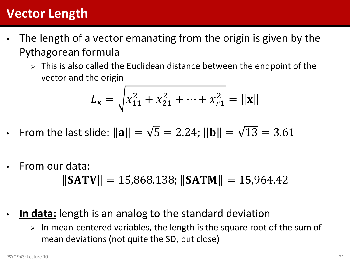#### **Vector Length**

- The length of a vector emanating from the origin is given by the Pythagorean formula
	- $\triangleright$  This is also called the Euclidean distance between the endpoint of the vector and the origin

$$
L_{\mathbf{x}} = \sqrt{x_{11}^2 + x_{21}^2 + \dots + x_{r1}^2} = ||\mathbf{x}||
$$

- From the last slide:  $\|\mathbf{a}\| = \sqrt{5} = 2.24$ ;  $\|\mathbf{b}\| = \sqrt{13} = 3.61$
- From our data:  $||SATV|| = 15,868.138; ||SATM|| = 15,964.42$
- In data: length is an analog to the standard deviation
	- $>$  In mean-centered variables, the length is the square root of the sum of mean deviations (not quite the SD, but close)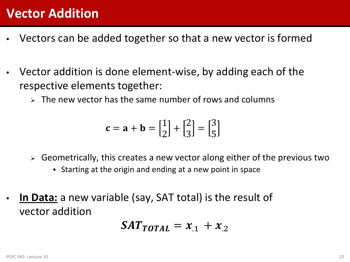#### **Vector Addition**

- Vectors can be added together so that a new vector is formed
- Vector addition is done element-wise, by adding each of the respective elements together:
	- $\triangleright$  The new vector has the same number of rows and columns

$$
\mathbf{c} = \mathbf{a} + \mathbf{b} = \begin{bmatrix} 1 \\ 2 \end{bmatrix} + \begin{bmatrix} 2 \\ 3 \end{bmatrix} = \begin{bmatrix} 3 \\ 5 \end{bmatrix}
$$

- $\triangleright$  Geometrically, this creates a new vector along either of the previous two
	- Starting at the origin and ending at a new point in space
- **In Data:** a new variable (say, SAT total) is the result of vector addition

$$
\mathbf{SAT}_{\mathbf{TOT}AL} = \mathbf{x}_{.1} + \mathbf{x}_{.2}
$$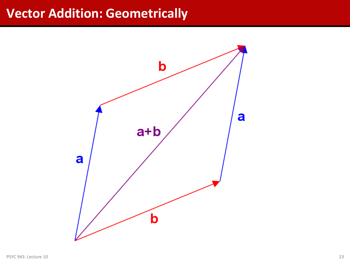#### **Vector Addition: Geometrically**

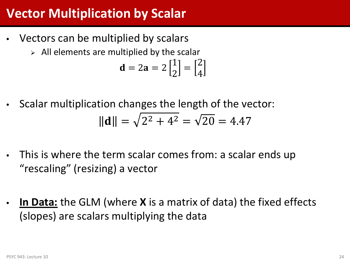#### **Vector Multiplication by Scalar**

- Vectors can be multiplied by scalars
	- $\triangleright$  All elements are multiplied by the scalar

$$
\mathbf{d} = 2\mathbf{a} = 2\begin{bmatrix} 1 \\ 2 \end{bmatrix} = \begin{bmatrix} 2 \\ 4 \end{bmatrix}
$$

• Scalar multiplication changes the length of the vector:

$$
\|\mathbf{d}\| = \sqrt{2^2 + 4^2} = \sqrt{20} = 4.47
$$

- This is where the term scalar comes from: a scalar ends up "rescaling" (resizing) a vector
- **In Data:** the GLM (where **X** is a matrix of data) the fixed effects (slopes) are scalars multiplying the data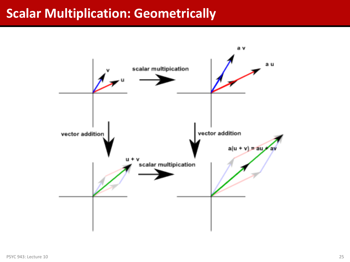#### **Scalar Multiplication: Geometrically**

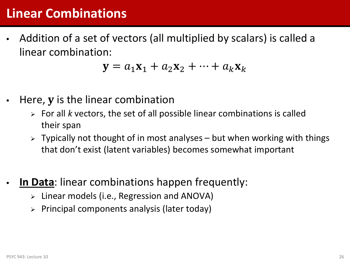#### **Linear Combinations**

• Addition of a set of vectors (all multiplied by scalars) is called a linear combination:

$$
\mathbf{y} = a_1 \mathbf{x}_1 + a_2 \mathbf{x}_2 + \dots + a_k \mathbf{x}_k
$$

- Here,  $\bf{y}$  is the linear combination
	- For all *k* vectors, the set of all possible linear combinations is called their span
	- $\triangleright$  Typically not thought of in most analyses but when working with things that don't exist (latent variables) becomes somewhat important
- **In Data:** linear combinations happen frequently:
	- $\triangleright$  Linear models (i.e., Regression and ANOVA)
	- Principal components analysis (later today)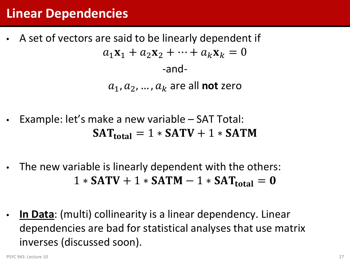#### **Linear Dependencies**

- A set of vectors are said to be linearly dependent if  $a_1 \mathbf{x}_1 + a_2 \mathbf{x}_2 + \cdots + a_k \mathbf{x}_k = 0$ -and  $a_1, a_2, ..., a_k$  are all **not** zero
- Example: let's make a new variable SAT Total:  $SAT_{total} = 1 * SATV + 1 * SATM$
- The new variable is linearly dependent with the others:  $1 * SATV + 1 * SATM - 1 * SAT_{total} = 0$
- **In Data**: (multi) collinearity is a linear dependency. Linear dependencies are bad for statistical analyses that use matrix inverses (discussed soon).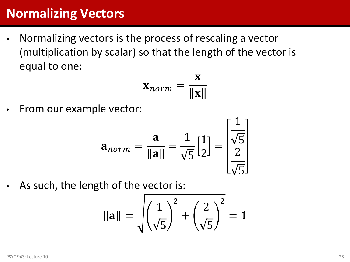#### **Normalizing Vectors**

• Normalizing vectors is the process of rescaling a vector (multiplication by scalar) so that the length of the vector is equal to one:

$$
\mathbf{x}_{norm} = \frac{\mathbf{x}}{\|\mathbf{x}\|}
$$

• From our example vector:

$$
\mathbf{a}_{norm} = \frac{\mathbf{a}}{\|\mathbf{a}\|} = \frac{1}{\sqrt{5}} \begin{bmatrix} 1 \\ 2 \end{bmatrix} = \begin{bmatrix} \frac{1}{\sqrt{5}} \\ \frac{2}{\sqrt{5}} \end{bmatrix}
$$

As such, the length of the vector is:

$$
\|\mathbf{a}\| = \sqrt{\left(\frac{1}{\sqrt{5}}\right)^2 + \left(\frac{2}{\sqrt{5}}\right)^2} = 1
$$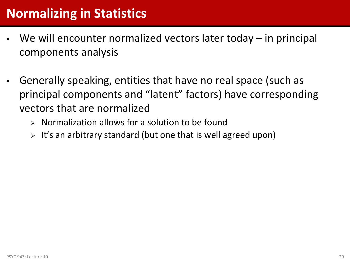- We will encounter normalized vectors later today in principal components analysis
- Generally speaking, entities that have no real space (such as principal components and "latent" factors) have corresponding vectors that are normalized
	- $\triangleright$  Normalization allows for a solution to be found
	- $\triangleright$  It's an arbitrary standard (but one that is well agreed upon)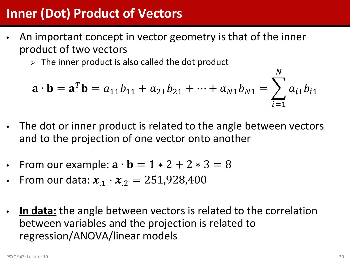#### **Inner (Dot) Product of Vectors**

- An important concept in vector geometry is that of the inner product of two vectors
	- $\triangleright$  The inner product is also called the dot product

$$
\mathbf{a} \cdot \mathbf{b} = \mathbf{a}^T \mathbf{b} = a_{11}b_{11} + a_{21}b_{21} + \dots + a_{N1}b_{N1} = \sum_{i=1}^N a_{i1}b_{i1}
$$

- The dot or inner product is related to the angle between vectors and to the projection of one vector onto another
- From our example:  $\mathbf{a} \cdot \mathbf{b} = 1 * 2 + 2 * 3 = 8$
- From our data:  $x_1 \cdot x_2 = 251,928,400$
- **In data:** the angle between vectors is related to the correlation between variables and the projection is related to regression/ANOVA/linear models

 $\mathbf{M}$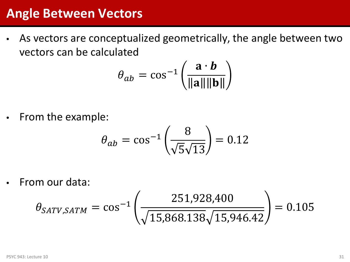#### **Angle Between Vectors**

• As vectors are conceptualized geometrically, the angle between two vectors can be calculated

$$
\theta_{ab} = \cos^{-1}\left(\frac{\mathbf{a} \cdot \mathbf{b}}{\|\mathbf{a}\| \|\mathbf{b}\|}\right)
$$

• From the example:

$$
\theta_{ab} = \cos^{-1}\left(\frac{8}{\sqrt{5}\sqrt{13}}\right) = 0.12
$$

• From our data:

$$
\theta_{SATV,SATM} = \cos^{-1}\left(\frac{251,928,400}{\sqrt{15,868.138}\sqrt{15,946.42}}\right) = 0.105
$$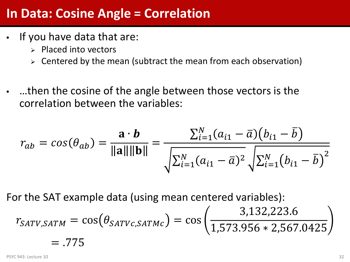#### **In Data: Cosine Angle = Correlation**

- If you have data that are:
	- $\triangleright$  Placed into vectors
	- $\triangleright$  Centered by the mean (subtract the mean from each observation)
- …then the cosine of the angle between those vectors is the correlation between the variables:

$$
r_{ab} = cos(\theta_{ab}) = \frac{\mathbf{a} \cdot \mathbf{b}}{\|\mathbf{a}\| \|\mathbf{b}\|} = \frac{\sum_{i=1}^{N} (a_{i1} - \bar{a})(b_{i1} - \bar{b})}{\sqrt{\sum_{i=1}^{N} (a_{i1} - \bar{a})^2} \sqrt{\sum_{i=1}^{N} (b_{i1} - \bar{b})^2}}
$$

For the SAT example data (using mean centered variables):

$$
r_{SATV,SATM} = \cos(\theta_{SATVc,SATMc}) = \cos\left(\frac{3,132,223.6}{1,573.956 * 2,567.0425}\right)
$$
  
= .775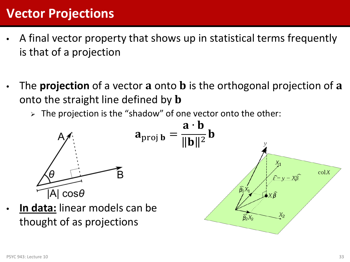#### **Vector Projections**

- A final vector property that shows up in statistical terms frequently is that of a projection
- The **projection** of a vector **a** onto **b** is the orthogonal projection of **a** onto the straight line defined by **b** 
	- $\triangleright$  The projection is the "shadow" of one vector onto the other:

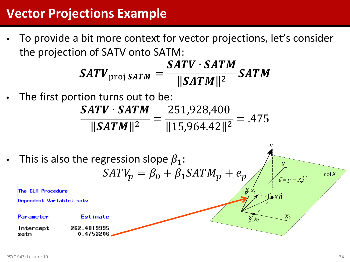#### **Vector Projections Example**

• To provide a bit more context for vector projections, let's consider the projection of SATV onto SATM:

$$
SATV_{\text{proj }SATM} = \frac{SATV \cdot SATM}{\|SATM\|^2} SATM
$$

The first portion turns out to be:

*SATV ∙ SATM*  $\bm{SATM}$ ||<sup>2</sup> = 251,928,400  $15,964.42$ <sup>2</sup>  $=$  .475

This is also the regression slope  $\beta_1$ :  $X_1$  $SATV_p = \beta_0 + \beta_1 SATM_p + e_p$  $colX$  $\hat{\varepsilon} = y - X\hat{\beta}$  $\widehat{\beta_1}$ X The GLM Procedure Dependent Variable: satv Parameter Estimate  $X_2$  $\widehat{\beta_2}X_2$ Intercept 262.4819995 0.4753206 satm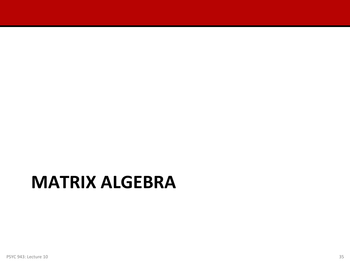### **MATRIX ALGEBRA**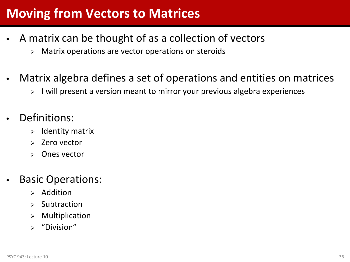#### **Moving from Vectors to Matrices**

- A matrix can be thought of as a collection of vectors
	- $\triangleright$  Matrix operations are vector operations on steroids
- Matrix algebra defines a set of operations and entities on matrices
	- > I will present a version meant to mirror your previous algebra experiences
- Definitions:
	- Identity matrix
	- Zero vector
	- Ones vector
- Basic Operations:
	- $\triangleright$  Addition
	- Subtraction
	- Multiplication
	- "Division"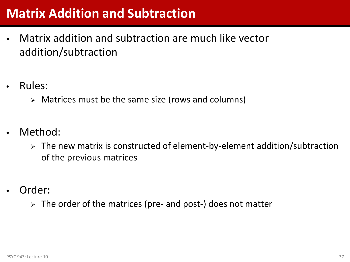#### **Matrix Addition and Subtraction**

- Matrix addition and subtraction are much like vector addition/subtraction
- Rules:
	- Matrices must be the same size (rows and columns)
- Method:
	- $\triangleright$  The new matrix is constructed of element-by-element addition/subtraction of the previous matrices
- Order:
	- $\triangleright$  The order of the matrices (pre- and post-) does not matter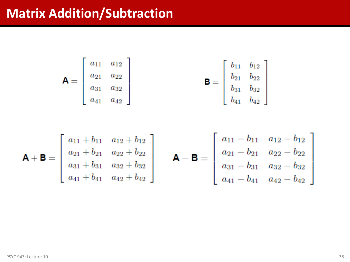#### **Matrix Addition/Subtraction**

$$
\mathbf{A} = \begin{bmatrix} a_{11} & a_{12} \\ a_{21} & a_{22} \\ a_{31} & a_{32} \\ a_{41} & a_{42} \end{bmatrix} \qquad \qquad \mathbf{B} = \begin{bmatrix} b_{11} & b_{12} \\ b_{21} & b_{22} \\ b_{31} & b_{32} \\ b_{41} & b_{42} \end{bmatrix}
$$

$$
\mathbf{A} + \mathbf{B} = \begin{bmatrix} a_{11} + b_{11} & a_{12} + b_{12} \\ a_{21} + b_{21} & a_{22} + b_{22} \\ a_{31} + b_{31} & a_{32} + b_{32} \\ a_{41} + b_{41} & a_{42} + b_{42} \end{bmatrix} \qquad \mathbf{A} - \mathbf{B} = \begin{bmatrix} a_{11} - b_{11} & a_{12} - b_{12} \\ a_{21} - b_{21} & a_{22} - b_{22} \\ a_{31} - b_{31} & a_{32} - b_{32} \\ a_{41} - b_{41} & a_{42} - b_{42} \end{bmatrix}
$$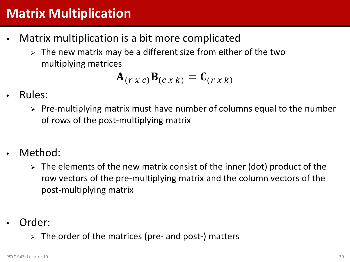#### **Matrix Multiplication**

- Matrix multiplication is a bit more complicated
	- The new matrix may be a different size from either of the two multiplying matrices

$$
\mathbf{A}_{(r\,x\,c)}\mathbf{B}_{(c\,x\,k)}=\mathbf{C}_{(r\,x\,k)}
$$

- Rules:
	- $\triangleright$  Pre-multiplying matrix must have number of columns equal to the number of rows of the post-multiplying matrix
- Method:
	- $\triangleright$  The elements of the new matrix consist of the inner (dot) product of the row vectors of the pre-multiplying matrix and the column vectors of the post-multiplying matrix
- Order:
	- $\triangleright$  The order of the matrices (pre- and post-) matters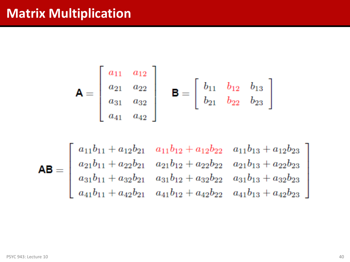#### **Matrix Multiplication**

$$
\mathbf{A} = \begin{bmatrix} a_{11} & a_{12} \\ a_{21} & a_{22} \\ a_{31} & a_{32} \\ a_{41} & a_{42} \end{bmatrix} \quad \mathbf{B} = \begin{bmatrix} b_{11} & b_{12} & b_{13} \\ b_{21} & b_{22} & b_{23} \end{bmatrix}
$$

$$
\mathsf{AB} = \begin{bmatrix} a_{11}b_{11} + a_{12}b_{21} & a_{11}b_{12} + a_{12}b_{22} & a_{11}b_{13} + a_{12}b_{23} \\ a_{21}b_{11} + a_{22}b_{21} & a_{21}b_{12} + a_{22}b_{22} & a_{21}b_{13} + a_{22}b_{23} \\ a_{31}b_{11} + a_{32}b_{21} & a_{31}b_{12} + a_{32}b_{22} & a_{31}b_{13} + a_{32}b_{23} \\ a_{41}b_{11} + a_{42}b_{21} & a_{41}b_{12} + a_{42}b_{22} & a_{41}b_{13} + a_{42}b_{23} \end{bmatrix}
$$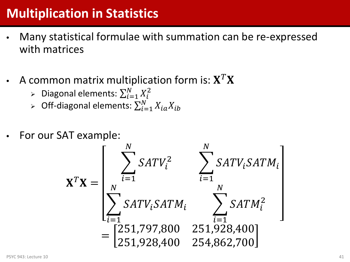### **Multiplication in Statistics**

- Many statistical formulae with summation can be re-expressed with matrices
- A common matrix multiplication form is:  $X^T X$ 
	- > Diagonal elements:  $\sum_{i=1}^{N} X_i^2$  $\frac{l-1}{-}$
	- ≻ Off-diagonal elements:  $\sum_{i=1}^{N} X_{ia} X_i$  $l=1$
- For our SAT example:

$$
\mathbf{X}^T \mathbf{X} = \begin{bmatrix} \sum_{i=1}^N SATV_i^2 & \sum_{i=1}^N SATV_iSATM_i \\ \sum_{i=1}^N SATV_iSATM_i & \sum_{i=1}^N SATM_i^2 \\ = \begin{bmatrix} 251,797,800 & 251,928,400 \\ 251,928,400 & 254,862,700 \end{bmatrix} \end{bmatrix}
$$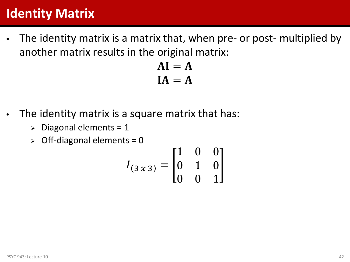#### **Identity Matrix**

• The identity matrix is a matrix that, when pre- or post- multiplied by another matrix results in the original matrix:

```
AI = AIA = A
```
- The identity matrix is a square matrix that has:
	- $\triangleright$  Diagonal elements = 1
	- $\geq$  Off-diagonal elements = 0

$$
I_{(3x3)} = \begin{bmatrix} 1 & 0 & 0 \\ 0 & 1 & 0 \\ 0 & 0 & 1 \end{bmatrix}
$$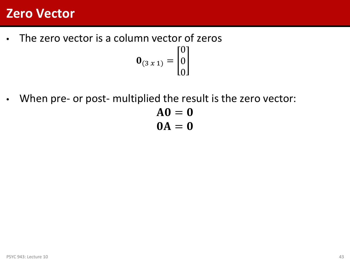#### **Zero Vector**

- The zero vector is a column vector of zeros  $\mathbf{0}_{(3x1)} =$  $\boldsymbol{0}$  $\boldsymbol{0}$  $\boldsymbol{0}$
- When pre- or post- multiplied the result is the zero vector:

$$
AO = 0
$$
  

$$
OA = 0
$$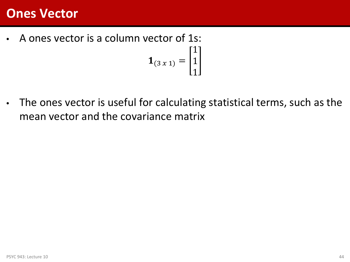#### **Ones Vector**

• A ones vector is a column vector of 1s:  ${\bf 1}_{(3x1)} =$ 1 1

• The ones vector is useful for calculating statistical terms, such as the mean vector and the covariance matrix

1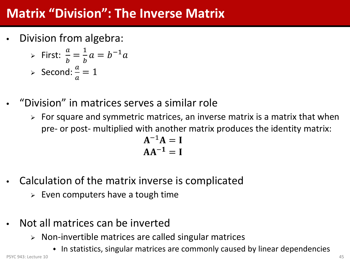#### **Matrix "Division": The Inverse Matrix**

• Division from algebra:

► First: 
$$
\frac{a}{b} = \frac{1}{b}a = b^{-1}a
$$
  
\n> > Second:  $\frac{a}{a} = 1$ 

- "Division" in matrices serves a similar role
	- $\triangleright$  For square and symmetric matrices, an inverse matrix is a matrix that when pre- or post- multiplied with another matrix produces the identity matrix:

$$
A^{-1}A = I
$$

$$
AA^{-1} = I
$$

- Calculation of the matrix inverse is complicated
	- $\triangleright$  Even computers have a tough time
- Not all matrices can be inverted
	- $\triangleright$  Non-invertible matrices are called singular matrices
- In statistics, singular matrices are commonly caused by linear dependencies PSYC 943: Lecture 10 and the state of the state of the state of the state of the state of the state of the state of the state of the state of the state of the state of the state of the state of the state of the state of th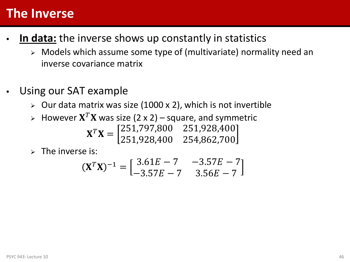#### **The Inverse**

- In data: the inverse shows up constantly in statistics
	- Models which assume some type of (multivariate) normality need an inverse covariance matrix
- Using our SAT example
	- $\triangleright$  Our data matrix was size (1000 x 2), which is not invertible
	- $\triangleright$  However  $X^T X$  was size (2 x 2) square, and symmetric  $X^T X = \begin{bmatrix} 251,797,800 & 251,928,400 \\ 251,928,400 & 254,862,700 \end{bmatrix}$ 251,928,400 254,862,700
	- $\triangleright$  The inverse is:

$$
(\mathbf{X}^T \mathbf{X})^{-1} = \begin{bmatrix} 3.61E - 7 & -3.57E - 7 \\ -3.57E - 7 & 3.56E - 7 \end{bmatrix}
$$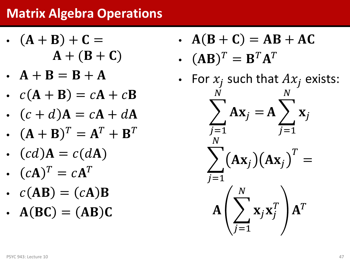#### **Matrix Algebra Operations**

- $(A + B) + C =$  $A + (B + C)$
- $A + B = B + A$
- $c(A + B) = cA + cB$
- $(c + d)$ **A** =  $c$ **A** +  $d$ **A**
- $({\bf A} + {\bf B})^T = {\bf A}^T + {\bf B}^T$
- $(cd)A = c(dA)$
- $(cA)^T = cA^T$
- $c(AB) = (cA)B$
- $\bullet$  A(BC) = (AB)C
- $A(B+C) = AB + AC$
- $(AB)^T = B^T A^T$
- For  $x_i$  such that  $Ax_i$  exists:  $\sum A x_j =$ <u>N</u>  $=1$  $A \nearrow X$ <u>N</u>  $=1$  $\sum_{j}$   $(\mathbf{A}\mathbf{x}_{j})(\mathbf{A}\mathbf{x}_{j})$  $T$ = <u>N</u>  $=1$  $\mathbf{A} \big| \sum_i \mathbf{x}_j \mathbf{x}_j^T$ <u>N</u>  $=1$  ${\bf A}^T$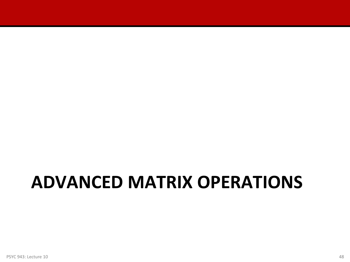# **ADVANCED MATRIX OPERATIONS**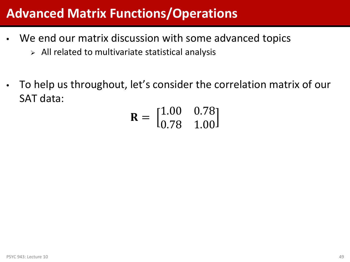#### **Advanced Matrix Functions/Operations**

- We end our matrix discussion with some advanced topics
	- $\triangleright$  All related to multivariate statistical analysis
- To help us throughout, let's consider the correlation matrix of our SAT data:

$$
\mathbf{R} = \begin{bmatrix} 1.00 & 0.78 \\ 0.78 & 1.00 \end{bmatrix}
$$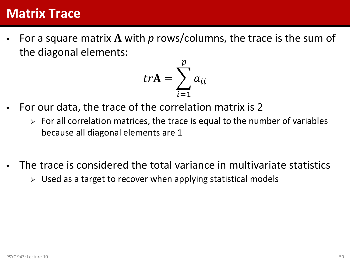#### **Matrix Trace**

For a square matrix A with p rows/columns, the trace is the sum of the diagonal elements:

$$
tr\mathbf{A} = \sum_{i=1}^{p} a_{ii}
$$

- For our data, the trace of the correlation matrix is 2
	- $\triangleright$  For all correlation matrices, the trace is equal to the number of variables because all diagonal elements are 1
- The trace is considered the total variance in multivariate statistics
	- $\triangleright$  Used as a target to recover when applying statistical models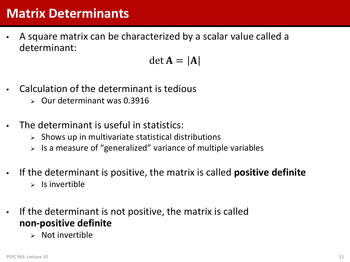#### **Matrix Determinants**

• A square matrix can be characterized by a scalar value called a determinant:

$$
\det \mathbf{A} = |\mathbf{A}|
$$

- Calculation of the determinant is tedious
	- $\triangleright$  Our determinant was 0.3916
- The determinant is useful in statistics:
	- $\triangleright$  Shows up in multivariate statistical distributions
	- $>$  Is a measure of "generalized" variance of multiple variables
- If the determinant is positive, the matrix is called **positive definite**  $\triangleright$  Is invertible
- If the determinant is not positive, the matrix is called **non-positive definite**
	- Not invertible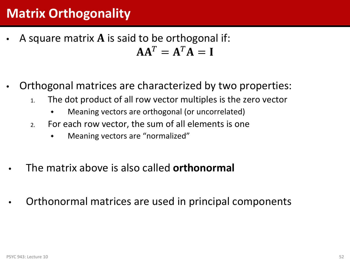#### **Matrix Orthogonality**

- A square matrix  $\bf{A}$  is said to be orthogonal if:  $AA^T = A^T A = I$
- Orthogonal matrices are characterized by two properties:
	- 1. The dot product of all row vector multiples is the zero vector
		- Meaning vectors are orthogonal (or uncorrelated)
	- 2. For each row vector, the sum of all elements is one
		- Meaning vectors are "normalized"
- The matrix above is also called **orthonormal**
- Orthonormal matrices are used in principal components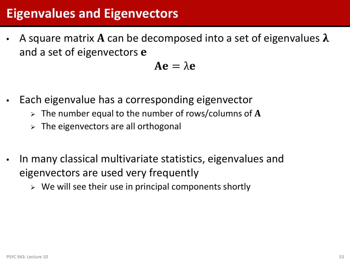#### **Eigenvalues and Eigenvectors**

A square matrix A can be decomposed into a set of eigenvalues  $\lambda$ and a set of eigenvectors e

 $Ae = \lambda e$ 

- Each eigenvalue has a corresponding eigenvector
	- $\triangleright$  The number equal to the number of rows/columns of A
	- $\triangleright$  The eigenvectors are all orthogonal
- In many classical multivariate statistics, eigenvalues and eigenvectors are used very frequently
	- $\triangleright$  We will see their use in principal components shortly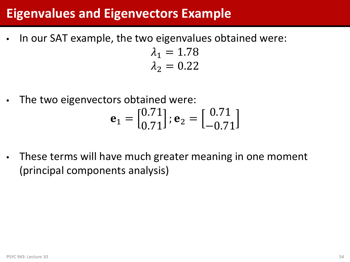#### **Eigenvalues and Eigenvectors Example**

In our SAT example, the two eigenvalues obtained were:

 $\lambda_1 = 1.78$  $\lambda_2 = 0.22$ 

The two eigenvectors obtained were:

$$
\mathbf{e}_1 = \begin{bmatrix} 0.71 \\ 0.71 \end{bmatrix}; \mathbf{e}_2 = \begin{bmatrix} 0.71 \\ -0.71 \end{bmatrix}
$$

These terms will have much greater meaning in one moment (principal components analysis)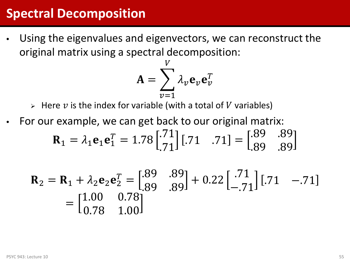#### **Spectral Decomposition**

Using the eigenvalues and eigenvectors, we can reconstruct the original matrix using a spectral decomposition:

$$
\mathbf{A} = \sum_{v=1}^{V} \lambda_v \mathbf{e}_v \mathbf{e}_v^T
$$

 $\triangleright$  Here  $v$  is the index for variable (with a total of V variables)

For our example, we can get back to our original matrix:

$$
\mathbf{R}_1 = \lambda_1 \mathbf{e}_1 \mathbf{e}_1^T = 1.78 \begin{bmatrix} .71 \\ .71 \end{bmatrix} [.71 \quad .71] = \begin{bmatrix} .89 & .89 \\ .89 & .89 \end{bmatrix}
$$

$$
\mathbf{R}_2 = \mathbf{R}_1 + \lambda_2 \mathbf{e}_2 \mathbf{e}_2^T = \begin{bmatrix} .89 & .89 \\ .89 & .89 \end{bmatrix} + 0.22 \begin{bmatrix} .71 \\ -.71 \end{bmatrix} \begin{bmatrix} .71 & -.71 \end{bmatrix}
$$

$$
= \begin{bmatrix} 1.00 & 0.78 \\ 0.78 & 1.00 \end{bmatrix}
$$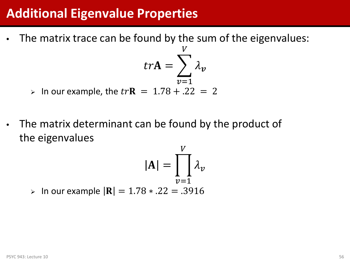#### **Additional Eigenvalue Properties**

• The matrix trace can be found by the sum of the eigenvalues:

$$
tr\mathbf{A} = \sum_{v=1}^{V} \lambda_v
$$

T T

 $\triangleright$  In our example, the  $tr$ **R** = 1.78 + .22 = 2

• The matrix determinant can be found by the product of the eigenvalues

$$
|\mathbf{A}| = \prod_{v=1}^{V} \lambda_v
$$
  
\n> In our example  $|\mathbf{R}| = 1.78 \times 22 = .3916$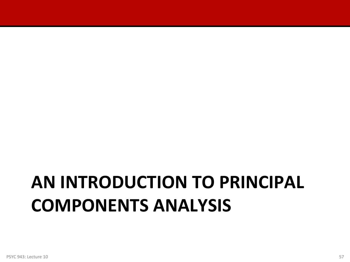# **AN INTRODUCTION TO PRINCIPAL COMPONENTS ANALYSIS**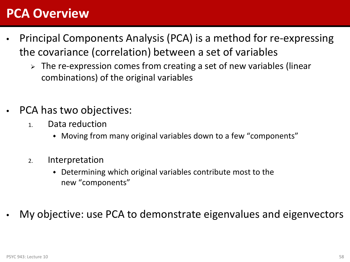#### **PCA Overview**

- Principal Components Analysis (PCA) is a method for re-expressing the covariance (correlation) between a set of variables
	- $\triangleright$  The re-expression comes from creating a set of new variables (linear combinations) of the original variables
- PCA has two objectives:
	- 1. Data reduction
		- Moving from many original variables down to a few "components"
	- 2. Interpretation
		- Determining which original variables contribute most to the new "components"
- My objective: use PCA to demonstrate eigenvalues and eigenvectors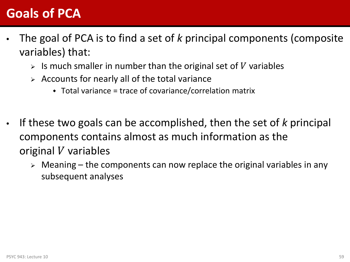#### **Goals of PCA**

- The goal of PCA is to find a set of *k* principal components (composite variables) that:
	- $\triangleright$  Is much smaller in number than the original set of V variables
	- $\triangleright$  Accounts for nearly all of the total variance
		- $\bullet$  Total variance = trace of covariance/correlation matrix
- If these two goals can be accomplished, then the set of *k* principal components contains almost as much information as the original  $V$  variables
	- $\triangleright$  Meaning the components can now replace the original variables in any subsequent analyses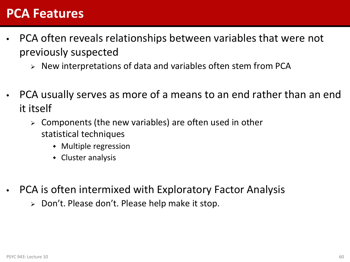#### **PCA Features**

- PCA often reveals relationships between variables that were not previously suspected
	- $\triangleright$  New interpretations of data and variables often stem from PCA
- PCA usually serves as more of a means to an end rather than an end it itself
	- Components (the new variables) are often used in other statistical techniques
		- Multiple regression
		- Cluster analysis
- PCA is often intermixed with Exploratory Factor Analysis
	- $\triangleright$  Don't. Please don't. Please help make it stop.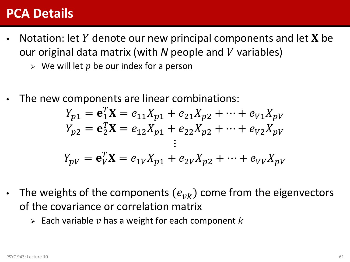#### **PCA Details**

- Notation: let  $Y$  denote our new principal components and let  $X$  be our original data matrix (with N people and V variables)
	- $\triangleright$  We will let p be our index for a person
- The new components are linear combinations:

$$
Y_{p1} = \mathbf{e}_1^T \mathbf{X} = e_{11} X_{p1} + e_{21} X_{p2} + \dots + e_{V1} X_{pV}
$$
  
\n
$$
Y_{p2} = \mathbf{e}_2^T \mathbf{X} = e_{12} X_{p1} + e_{22} X_{p2} + \dots + e_{V2} X_{pV}
$$
  
\n:  
\n:  
\n:  
\n
$$
Y_{pV} = \mathbf{e}_V^T \mathbf{X} = e_{1V} X_{p1} + e_{2V} X_{p2} + \dots + e_{VV} X_{pV}
$$

- The weights of the components  $(e_{\nu k})$  come from the eigenvectors of the covariance or correlation matrix
	- $\triangleright$  Each variable  $\nu$  has a weight for each component  $k$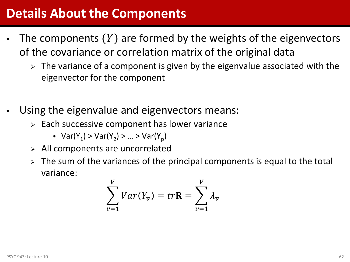#### **Details About the Components**

- The components  $(Y)$  are formed by the weights of the eigenvectors of the covariance or correlation matrix of the original data
	- $\triangleright$  The variance of a component is given by the eigenvalue associated with the eigenvector for the component
- Using the eigenvalue and eigenvectors means:
	- $\triangleright$  Each successive component has lower variance
		- $Var(Y_1) > Var(Y_2) > ... > Var(Y_n)$
	- $\triangleright$  All components are uncorrelated
	- $\triangleright$  The sum of the variances of the principal components is equal to the total variance:

$$
\sum_{v=1}^{V} Var(Y_v) = tr\mathbf{R} = \sum_{v=1}^{V} \lambda_v
$$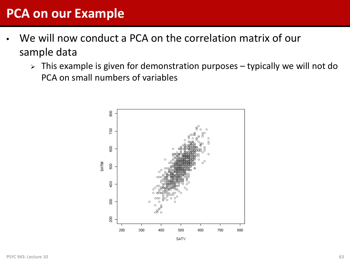#### **PCA on our Example**

- We will now conduct a PCA on the correlation matrix of our sample data
	- $\triangleright$  This example is given for demonstration purposes typically we will not do PCA on small numbers of variables



**SATV**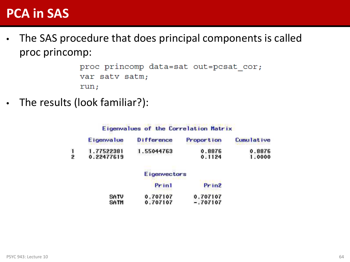#### **PCA in SAS**

• The SAS procedure that does principal components is called proc princomp:

> proc princomp data=sat out=pcsat cor; var satv satm; run;

The results (look familiar?):

Eigenvalues of the Correlation Matrix

| Eigenvalue | Difference | <b>Proportion</b> | <b>Cumulative</b> |
|------------|------------|-------------------|-------------------|
| 1.77522381 | 1.55044763 | 0.8876            | 0.8876            |
| 0.22477619 |            | 0.1124            | 1.0000            |

|  |  | Eigenvectors |  |
|--|--|--------------|--|
|  |  |              |  |

|      | Print    | Prin2      |
|------|----------|------------|
| SATV | 0.707107 | 0.707107   |
| SATM | 0.707107 | $-.707107$ |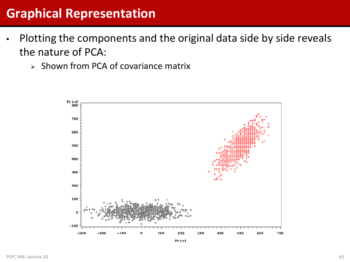#### **Graphical Representation**

- Plotting the components and the original data side by side reveals the nature of PCA:
	- $\geq$  Shown from PCA of covariance matrix

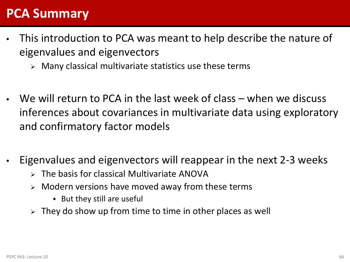#### **PCA Summary**

- This introduction to PCA was meant to help describe the nature of eigenvalues and eigenvectors
	- $\triangleright$  Many classical multivariate statistics use these terms
- We will return to PCA in the last week of class when we discuss inferences about covariances in multivariate data using exploratory and confirmatory factor models
- Eigenvalues and eigenvectors will reappear in the next 2-3 weeks
	- $\triangleright$  The basis for classical Multivariate ANOVA
	- $\triangleright$  Modern versions have moved away from these terms
		- $\bullet$  But they still are useful
	- $\triangleright$  They do show up from time to time in other places as well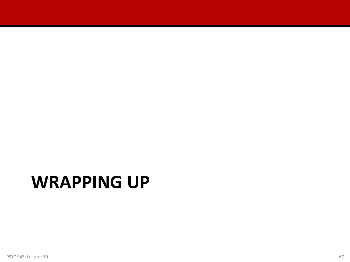## **WRAPPING UP**